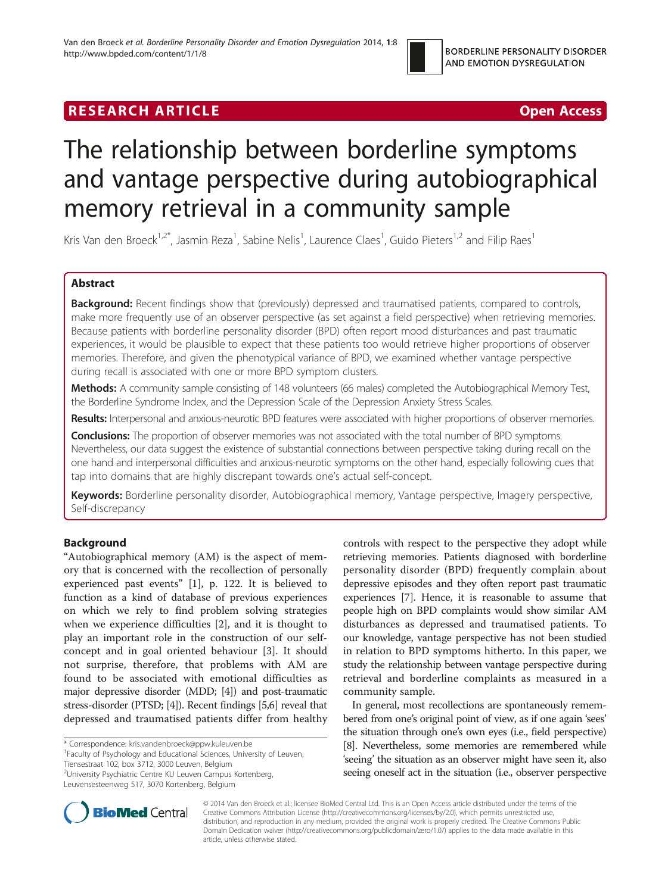# **RESEARCH ARTICLE Example 2014 CONSIDERING CONSIDERING CONSIDERING CONSIDERING CONSIDERING CONSIDERING CONSIDERING CONSIDERING CONSIDERING CONSIDERING CONSIDERING CONSIDERING CONSIDERING CONSIDERING CONSIDERING CONSIDE**

# The relationship between borderline symptoms and vantage perspective during autobiographical memory retrieval in a community sample

Kris Van den Broeck<sup>1,2\*</sup>, Jasmin Reza<sup>1</sup>, Sabine Nelis<sup>1</sup>, Laurence Claes<sup>1</sup>, Guido Pieters<sup>1,2</sup> and Filip Raes<sup>1</sup>

# Abstract

Background: Recent findings show that (previously) depressed and traumatised patients, compared to controls, make more frequently use of an observer perspective (as set against a field perspective) when retrieving memories. Because patients with borderline personality disorder (BPD) often report mood disturbances and past traumatic experiences, it would be plausible to expect that these patients too would retrieve higher proportions of observer memories. Therefore, and given the phenotypical variance of BPD, we examined whether vantage perspective during recall is associated with one or more BPD symptom clusters.

Methods: A community sample consisting of 148 volunteers (66 males) completed the Autobiographical Memory Test, the Borderline Syndrome Index, and the Depression Scale of the Depression Anxiety Stress Scales.

Results: Interpersonal and anxious-neurotic BPD features were associated with higher proportions of observer memories.

Conclusions: The proportion of observer memories was not associated with the total number of BPD symptoms. Nevertheless, our data suggest the existence of substantial connections between perspective taking during recall on the one hand and interpersonal difficulties and anxious-neurotic symptoms on the other hand, especially following cues that tap into domains that are highly discrepant towards one's actual self-concept.

Keywords: Borderline personality disorder, Autobiographical memory, Vantage perspective, Imagery perspective, Self-discrepancy

## Background

"Autobiographical memory (AM) is the aspect of memory that is concerned with the recollection of personally experienced past events" [\[1](#page-5-0)], p. 122. It is believed to function as a kind of database of previous experiences on which we rely to find problem solving strategies when we experience difficulties [\[2\]](#page-5-0), and it is thought to play an important role in the construction of our selfconcept and in goal oriented behaviour [\[3](#page-5-0)]. It should not surprise, therefore, that problems with AM are found to be associated with emotional difficulties as major depressive disorder (MDD; [\[4](#page-5-0)]) and post-traumatic stress-disorder (PTSD; [[4](#page-5-0)]). Recent findings [\[5,6\]](#page-5-0) reveal that depressed and traumatised patients differ from healthy

\* Correspondence: [kris.vandenbroeck@ppw.kuleuven.be](mailto:kris.vandenbroeck@ppw.kuleuven.be) <sup>1</sup>

Faculty of Psychology and Educational Sciences, University of Leuven, Tiensestraat 102, box 3712, 3000 Leuven, Belgium

2 University Psychiatric Centre KU Leuven Campus Kortenberg,

Leuvensesteenweg 517, 3070 Kortenberg, Belgium

controls with respect to the perspective they adopt while retrieving memories. Patients diagnosed with borderline personality disorder (BPD) frequently complain about depressive episodes and they often report past traumatic experiences [\[7](#page-5-0)]. Hence, it is reasonable to assume that people high on BPD complaints would show similar AM disturbances as depressed and traumatised patients. To our knowledge, vantage perspective has not been studied in relation to BPD symptoms hitherto. In this paper, we study the relationship between vantage perspective during retrieval and borderline complaints as measured in a community sample.

In general, most recollections are spontaneously remembered from one's original point of view, as if one again 'sees' the situation through one's own eyes (i.e., field perspective) [[8](#page-5-0)]. Nevertheless, some memories are remembered while 'seeing' the situation as an observer might have seen it, also seeing oneself act in the situation (i.e., observer perspective



© 2014 Van den Broeck et al.; licensee BioMed Central Ltd. This is an Open Access article distributed under the terms of the Creative Commons Attribution License (<http://creativecommons.org/licenses/by/2.0>), which permits unrestricted use, distribution, and reproduction in any medium, provided the original work is properly credited. The Creative Commons Public Domain Dedication waiver [\(http://creativecommons.org/publicdomain/zero/1.0/\)](http://creativecommons.org/publicdomain/zero/1.0/) applies to the data made available in this article, unless otherwise stated.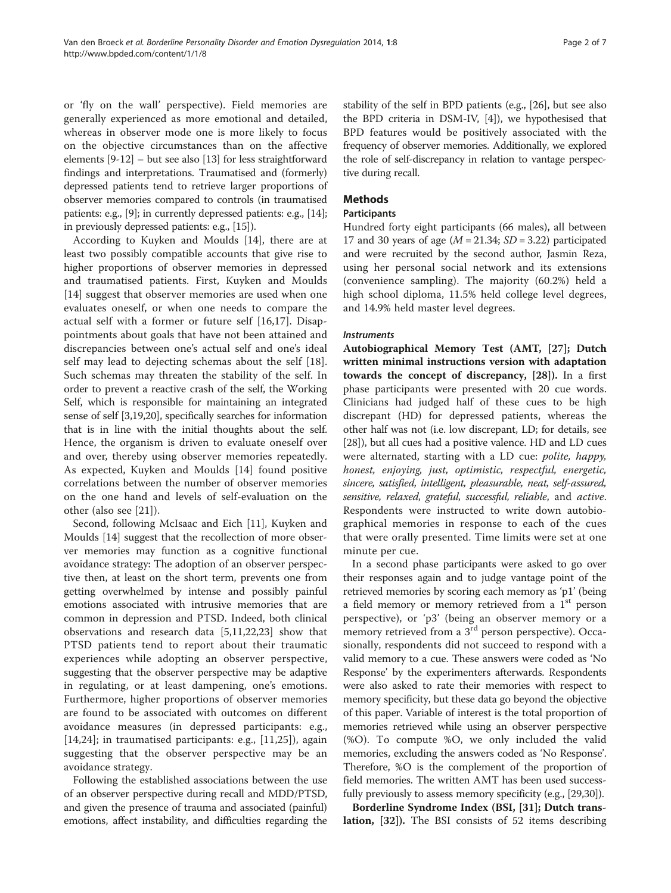or 'fly on the wall' perspective). Field memories are generally experienced as more emotional and detailed, whereas in observer mode one is more likely to focus on the objective circumstances than on the affective elements [\[9](#page-5-0)[-12](#page-6-0)] – but see also [[13](#page-6-0)] for less straightforward findings and interpretations. Traumatised and (formerly) depressed patients tend to retrieve larger proportions of observer memories compared to controls (in traumatised patients: e.g., [\[9\]](#page-5-0); in currently depressed patients: e.g., [[14](#page-6-0)]; in previously depressed patients: e.g., [[15](#page-6-0)]).

According to Kuyken and Moulds [[14\]](#page-6-0), there are at least two possibly compatible accounts that give rise to higher proportions of observer memories in depressed and traumatised patients. First, Kuyken and Moulds [[14\]](#page-6-0) suggest that observer memories are used when one evaluates oneself, or when one needs to compare the actual self with a former or future self [\[16,17\]](#page-6-0). Disappointments about goals that have not been attained and discrepancies between one's actual self and one's ideal self may lead to dejecting schemas about the self [\[18](#page-6-0)]. Such schemas may threaten the stability of the self. In order to prevent a reactive crash of the self, the Working Self, which is responsible for maintaining an integrated sense of self [[3](#page-5-0)[,19,20\]](#page-6-0), specifically searches for information that is in line with the initial thoughts about the self. Hence, the organism is driven to evaluate oneself over and over, thereby using observer memories repeatedly. As expected, Kuyken and Moulds [[14\]](#page-6-0) found positive correlations between the number of observer memories on the one hand and levels of self-evaluation on the other (also see [\[21](#page-6-0)]).

Second, following McIsaac and Eich [\[11\]](#page-6-0), Kuyken and Moulds [\[14\]](#page-6-0) suggest that the recollection of more observer memories may function as a cognitive functional avoidance strategy: The adoption of an observer perspective then, at least on the short term, prevents one from getting overwhelmed by intense and possibly painful emotions associated with intrusive memories that are common in depression and PTSD. Indeed, both clinical observations and research data [[5,](#page-5-0)[11,22,23\]](#page-6-0) show that PTSD patients tend to report about their traumatic experiences while adopting an observer perspective, suggesting that the observer perspective may be adaptive in regulating, or at least dampening, one's emotions. Furthermore, higher proportions of observer memories are found to be associated with outcomes on different avoidance measures (in depressed participants: e.g., [[14,24](#page-6-0)]; in traumatised participants: e.g., [[11,25](#page-6-0)]), again suggesting that the observer perspective may be an avoidance strategy.

Following the established associations between the use of an observer perspective during recall and MDD/PTSD, and given the presence of trauma and associated (painful) emotions, affect instability, and difficulties regarding the stability of the self in BPD patients (e.g., [\[26\]](#page-6-0), but see also the BPD criteria in DSM-IV, [\[4](#page-5-0)]), we hypothesised that BPD features would be positively associated with the frequency of observer memories. Additionally, we explored the role of self-discrepancy in relation to vantage perspective during recall.

# **Methods**

#### **Participants**

Hundred forty eight participants (66 males), all between 17 and 30 years of age  $(M = 21.34; SD = 3.22)$  participated and were recruited by the second author, Jasmin Reza, using her personal social network and its extensions (convenience sampling). The majority (60.2%) held a high school diploma, 11.5% held college level degrees, and 14.9% held master level degrees.

## **Instruments**

Autobiographical Memory Test (AMT, [[27](#page-6-0)]; Dutch written minimal instructions version with adaptation towards the concept of discrepancy, [[28](#page-6-0)]). In a first phase participants were presented with 20 cue words. Clinicians had judged half of these cues to be high discrepant (HD) for depressed patients, whereas the other half was not (i.e. low discrepant, LD; for details, see [[28](#page-6-0)]), but all cues had a positive valence. HD and LD cues were alternated, starting with a LD cue: polite, happy, honest, enjoying, just, optimistic, respectful, energetic, sincere, satisfied, intelligent, pleasurable, neat, self-assured, sensitive, relaxed, grateful, successful, reliable, and active. Respondents were instructed to write down autobiographical memories in response to each of the cues that were orally presented. Time limits were set at one minute per cue.

In a second phase participants were asked to go over their responses again and to judge vantage point of the retrieved memories by scoring each memory as 'p1' (being a field memory or memory retrieved from a  $1<sup>st</sup>$  person perspective), or 'p3' (being an observer memory or a memory retrieved from a 3<sup>rd</sup> person perspective). Occasionally, respondents did not succeed to respond with a valid memory to a cue. These answers were coded as 'No Response' by the experimenters afterwards. Respondents were also asked to rate their memories with respect to memory specificity, but these data go beyond the objective of this paper. Variable of interest is the total proportion of memories retrieved while using an observer perspective (%O). To compute %O, we only included the valid memories, excluding the answers coded as 'No Response'. Therefore, %O is the complement of the proportion of field memories. The written AMT has been used success-fully previously to assess memory specificity (e.g., [[29](#page-6-0),[30](#page-6-0)]).

Borderline Syndrome Index (BSI, [\[31](#page-6-0)]; Dutch translation, [[32\]](#page-6-0)). The BSI consists of 52 items describing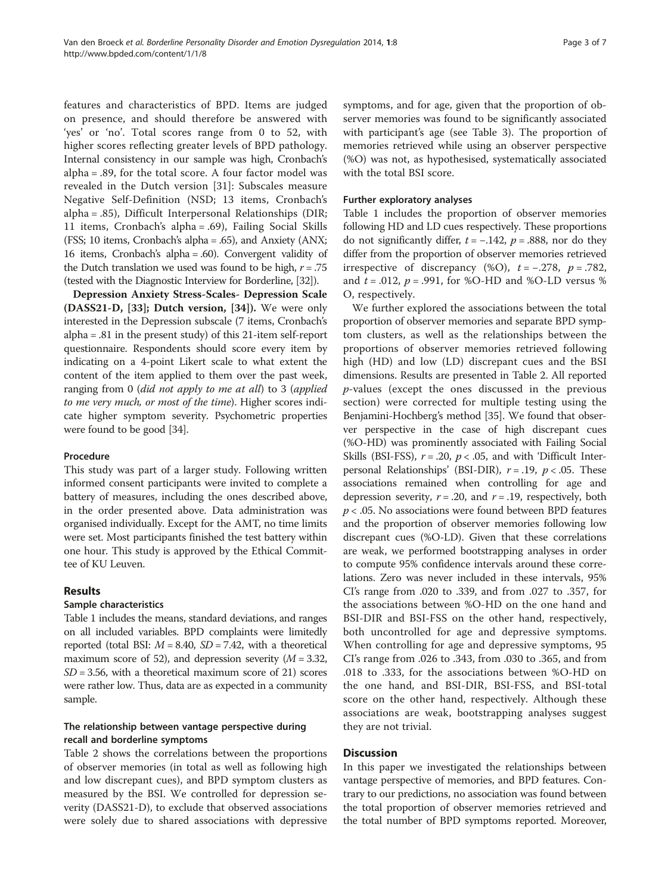features and characteristics of BPD. Items are judged on presence, and should therefore be answered with 'yes' or 'no'. Total scores range from 0 to 52, with higher scores reflecting greater levels of BPD pathology. Internal consistency in our sample was high, Cronbach's alpha = .89, for the total score. A four factor model was revealed in the Dutch version [\[31](#page-6-0)]: Subscales measure Negative Self-Definition (NSD; 13 items, Cronbach's alpha = .85), Difficult Interpersonal Relationships (DIR; 11 items, Cronbach's alpha = .69), Failing Social Skills (FSS; 10 items, Cronbach's alpha = .65), and Anxiety (ANX; 16 items, Cronbach's alpha = .60). Convergent validity of the Dutch translation we used was found to be high,  $r = .75$ (tested with the Diagnostic Interview for Borderline, [[32](#page-6-0)]).

Depression Anxiety Stress-Scales- Depression Scale (DASS21-D, [[33\]](#page-6-0); Dutch version, [\[34\]](#page-6-0)). We were only interested in the Depression subscale (7 items, Cronbach's alpha = .81 in the present study) of this 21-item self-report questionnaire. Respondents should score every item by indicating on a 4-point Likert scale to what extent the content of the item applied to them over the past week, ranging from 0 *(did not apply to me at all)* to 3 *(applied* to me very much, or most of the time). Higher scores indicate higher symptom severity. Psychometric properties were found to be good [[34](#page-6-0)].

## Procedure

This study was part of a larger study. Following written informed consent participants were invited to complete a battery of measures, including the ones described above, in the order presented above. Data administration was organised individually. Except for the AMT, no time limits were set. Most participants finished the test battery within one hour. This study is approved by the Ethical Committee of KU Leuven.

#### Results

#### Sample characteristics

Table [1](#page-3-0) includes the means, standard deviations, and ranges on all included variables. BPD complaints were limitedly reported (total BSI:  $M = 8.40$ ,  $SD = 7.42$ , with a theoretical maximum score of 52), and depression severity  $(M = 3.32)$ ,  $SD = 3.56$ , with a theoretical maximum score of 21) scores were rather low. Thus, data are as expected in a community sample.

# The relationship between vantage perspective during recall and borderline symptoms

Table [2](#page-3-0) shows the correlations between the proportions of observer memories (in total as well as following high and low discrepant cues), and BPD symptom clusters as measured by the BSI. We controlled for depression severity (DASS21-D), to exclude that observed associations were solely due to shared associations with depressive

symptoms, and for age, given that the proportion of observer memories was found to be significantly associated with participant's age (see Table [3\)](#page-3-0). The proportion of memories retrieved while using an observer perspective (%O) was not, as hypothesised, systematically associated with the total BSI score.

#### Further exploratory analyses

Table [1](#page-3-0) includes the proportion of observer memories following HD and LD cues respectively. These proportions do not significantly differ,  $t = -.142$ ,  $p = .888$ , nor do they differ from the proportion of observer memories retrieved irrespective of discrepancy (%O),  $t = -0.278$ ,  $p = 0.782$ , and  $t = .012$ ,  $p = .991$ , for %O-HD and %O-LD versus % O, respectively.

We further explored the associations between the total proportion of observer memories and separate BPD symptom clusters, as well as the relationships between the proportions of observer memories retrieved following high (HD) and low (LD) discrepant cues and the BSI dimensions. Results are presented in Table [2](#page-3-0). All reported p-values (except the ones discussed in the previous section) were corrected for multiple testing using the Benjamini-Hochberg's method [\[35\]](#page-6-0). We found that observer perspective in the case of high discrepant cues (%O-HD) was prominently associated with Failing Social Skills (BSI-FSS),  $r = .20$ ,  $p < .05$ , and with 'Difficult Interpersonal Relationships' (BSI-DIR),  $r = .19$ ,  $p < .05$ . These associations remained when controlling for age and depression severity,  $r = .20$ , and  $r = .19$ , respectively, both  $p < .05$ . No associations were found between BPD features and the proportion of observer memories following low discrepant cues (%O-LD). Given that these correlations are weak, we performed bootstrapping analyses in order to compute 95% confidence intervals around these correlations. Zero was never included in these intervals, 95% CI's range from .020 to .339, and from .027 to .357, for the associations between %O-HD on the one hand and BSI-DIR and BSI-FSS on the other hand, respectively, both uncontrolled for age and depressive symptoms. When controlling for age and depressive symptoms, 95 CI's range from .026 to .343, from .030 to .365, and from .018 to .333, for the associations between %O-HD on the one hand, and BSI-DIR, BSI-FSS, and BSI-total score on the other hand, respectively. Although these associations are weak, bootstrapping analyses suggest they are not trivial.

## **Discussion**

In this paper we investigated the relationships between vantage perspective of memories, and BPD features. Contrary to our predictions, no association was found between the total proportion of observer memories retrieved and the total number of BPD symptoms reported. Moreover,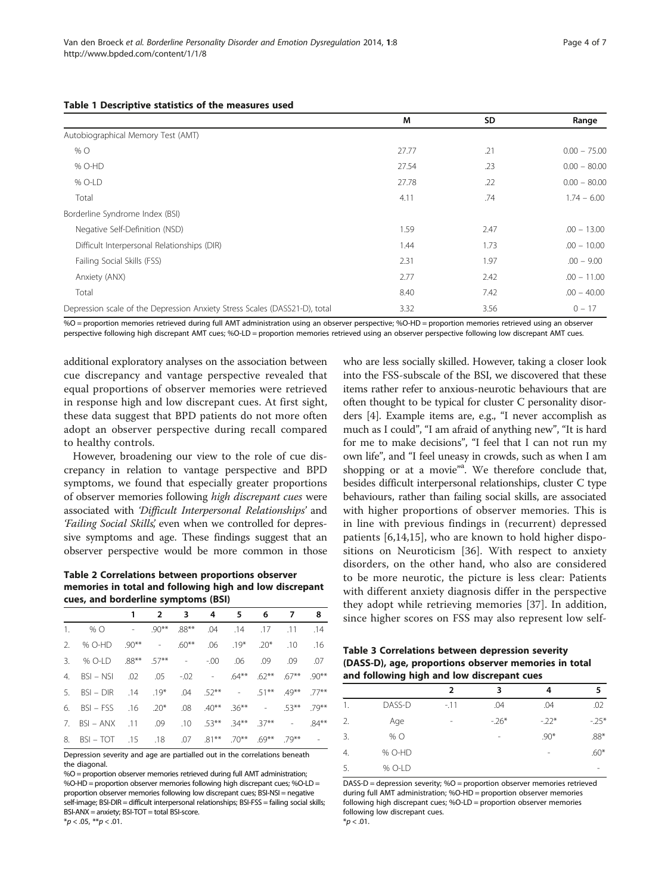<span id="page-3-0"></span>Table 1 Descriptive statistics of the measures used

|                                                                            | М     | <b>SD</b> | Range          |
|----------------------------------------------------------------------------|-------|-----------|----------------|
| Autobiographical Memory Test (AMT)                                         |       |           |                |
| % O                                                                        | 27.77 | .21       | $0.00 - 75.00$ |
| % O-HD                                                                     | 27.54 | .23       | $0.00 - 80.00$ |
| % O-LD                                                                     | 27.78 | .22       | $0.00 - 80.00$ |
| Total                                                                      | 4.11  | .74       | $1.74 - 6.00$  |
| Borderline Syndrome Index (BSI)                                            |       |           |                |
| Negative Self-Definition (NSD)                                             | 1.59  | 2.47      | $.00 - 13.00$  |
| Difficult Interpersonal Relationships (DIR)                                | 1.44  | 1.73      | $.00 - 10.00$  |
| Failing Social Skills (FSS)                                                | 2.31  | 1.97      | $.00 - 9.00$   |
| Anxiety (ANX)                                                              | 2.77  | 2.42      | $.00 - 11.00$  |
| Total                                                                      | 8.40  | 7.42      | $.00 - 40.00$  |
| Depression scale of the Depression Anxiety Stress Scales (DASS21-D), total | 3.32  | 3.56      | $0 - 17$       |

%O = proportion memories retrieved during full AMT administration using an observer perspective; %O-HD = proportion memories retrieved using an observer perspective following high discrepant AMT cues; %O-LD = proportion memories retrieved using an observer perspective following low discrepant AMT cues.

additional exploratory analyses on the association between cue discrepancy and vantage perspective revealed that equal proportions of observer memories were retrieved in response high and low discrepant cues. At first sight, these data suggest that BPD patients do not more often adopt an observer perspective during recall compared to healthy controls.

However, broadening our view to the role of cue discrepancy in relation to vantage perspective and BPD symptoms, we found that especially greater proportions of observer memories following high discrepant cues were associated with 'Difficult Interpersonal Relationships' and 'Failing Social Skills', even when we controlled for depressive symptoms and age. These findings suggest that an observer perspective would be more common in those

Table 2 Correlations between proportions observer memories in total and following high and low discrepant cues, and borderline symptoms (BSI)

|    |                |                                        |                 | $2 \quad 3$ |         | 4 5                                         | -6          |     | 8        |
|----|----------------|----------------------------------------|-----------------|-------------|---------|---------------------------------------------|-------------|-----|----------|
| 1. | % O            |                                        | $-$ .90** .88** |             | .04     |                                             | $.14$ $.17$ | .11 | .14      |
| 2. | % O-HD .90** - |                                        |                 | $.60***$    |         | $.06$ $.19*$ $.20*$                         |             | .10 | .16      |
| 3. |                |                                        |                 |             | $-0.00$ | .06                                         | .09         | .09 | .07      |
| 4. | - BSI – NSI    | .02 .05 -.02 - .64** .62** .67** .90** |                 |             |         |                                             |             |     |          |
| 5. | - BSI – DIR    | $.14$ $.19*$                           |                 |             |         | $.04$ $.52***$ - $.51***$ $.49***$ $.77***$ |             |     |          |
| 6. | BSI – FSS      | $.16 \t .20*$                          |                 |             |         | .08 .40** .36** - .53** .79**               |             |     |          |
|    | 7. $BSI - ANX$ | $\therefore$ 11                        | 09              |             |         | $.10$ $.53***$ $.34***$ $.37***$ -          |             |     | $.84***$ |
| 8. | - BSI – TOT    | .15                                    | .18             |             |         | .07 .81** .70** .69** .79**                 |             |     |          |

Depression severity and age are partialled out in the correlations beneath the diagonal.

%O = proportion observer memories retrieved during full AMT administration; %O-HD = proportion observer memories following high discrepant cues; %O-LD = proportion observer memories following low discrepant cues; BSI-NSI = negative self-image; BSI-DIR = difficult interpersonal relationships; BSI-FSS = failing social skills; BSI-ANX = anxiety; BSI-TOT = total BSI-score.

 $*p < .05, **p < .01.$ 

who are less socially skilled. However, taking a closer look into the FSS-subscale of the BSI, we discovered that these items rather refer to anxious-neurotic behaviours that are often thought to be typical for cluster C personality disorders [[4](#page-5-0)]. Example items are, e.g., "I never accomplish as much as I could", "I am afraid of anything new", "It is hard for me to make decisions", "I feel that I can not run my own life", and "I feel uneasy in crowds, such as when I am shopping or at a movie"<sup>a</sup>. We therefore conclude that, besides difficult interpersonal relationships, cluster C type behaviours, rather than failing social skills, are associated with higher proportions of observer memories. This is in line with previous findings in (recurrent) depressed patients [[6](#page-5-0)[,14,15](#page-6-0)], who are known to hold higher dispositions on Neuroticism [[36\]](#page-6-0). With respect to anxiety disorders, on the other hand, who also are considered to be more neurotic, the picture is less clear: Patients with different anxiety diagnosis differ in the perspective they adopt while retrieving memories [\[37](#page-6-0)]. In addition, since higher scores on FSS may also represent low self-

Table 3 Correlations between depression severity (DASS-D), age, proportions observer memories in total and following high and low discrepant cues

| 2<br>3                       | 4       | 5               |
|------------------------------|---------|-----------------|
|                              |         |                 |
| DASS-D<br>1.<br>$-11$<br>.04 | .04     | .02             |
| $-26*$<br>2.<br>Age<br>۰     | $-.22*$ | $-.25*$         |
| % O<br>3.<br>٠               | $.90*$  | $.88*$          |
| % O-HD<br>$\overline{4}$ .   | ۰       | $.60*$          |
| % O-LD<br>5.                 |         | $\qquad \qquad$ |

DASS-D = depression severity; %O = proportion observer memories retrieved during full AMT administration; %O-HD = proportion observer memories following high discrepant cues; %O-LD = proportion observer memories following low discrepant cues.

 $*$ *p* < .01.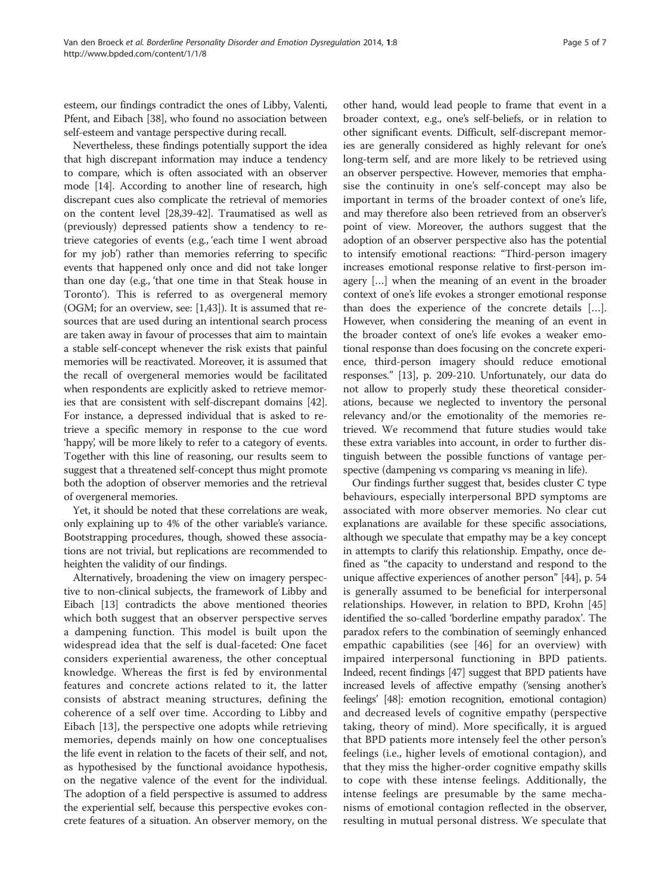esteem, our findings contradict the ones of Libby, Valenti, Pfent, and Eibach [\[38\]](#page-6-0), who found no association between self-esteem and vantage perspective during recall.

Nevertheless, these findings potentially support the idea that high discrepant information may induce a tendency to compare, which is often associated with an observer mode [\[14\]](#page-6-0). According to another line of research, high discrepant cues also complicate the retrieval of memories on the content level [[28,39-42](#page-6-0)]. Traumatised as well as (previously) depressed patients show a tendency to retrieve categories of events (e.g., 'each time I went abroad for my job') rather than memories referring to specific events that happened only once and did not take longer than one day (e.g., 'that one time in that Steak house in Toronto'). This is referred to as overgeneral memory (OGM; for an overview, see: [[1,](#page-5-0)[43](#page-6-0)]). It is assumed that resources that are used during an intentional search process are taken away in favour of processes that aim to maintain a stable self-concept whenever the risk exists that painful memories will be reactivated. Moreover, it is assumed that the recall of overgeneral memories would be facilitated when respondents are explicitly asked to retrieve memories that are consistent with self-discrepant domains [[42](#page-6-0)]. For instance, a depressed individual that is asked to retrieve a specific memory in response to the cue word 'happy', will be more likely to refer to a category of events. Together with this line of reasoning, our results seem to suggest that a threatened self-concept thus might promote both the adoption of observer memories and the retrieval of overgeneral memories.

Yet, it should be noted that these correlations are weak, only explaining up to 4% of the other variable's variance. Bootstrapping procedures, though, showed these associations are not trivial, but replications are recommended to heighten the validity of our findings.

Alternatively, broadening the view on imagery perspective to non-clinical subjects, the framework of Libby and Eibach [[13](#page-6-0)] contradicts the above mentioned theories which both suggest that an observer perspective serves a dampening function. This model is built upon the widespread idea that the self is dual-faceted: One facet considers experiential awareness, the other conceptual knowledge. Whereas the first is fed by environmental features and concrete actions related to it, the latter consists of abstract meaning structures, defining the coherence of a self over time. According to Libby and Eibach [[13](#page-6-0)], the perspective one adopts while retrieving memories, depends mainly on how one conceptualises the life event in relation to the facets of their self, and not, as hypothesised by the functional avoidance hypothesis, on the negative valence of the event for the individual. The adoption of a field perspective is assumed to address the experiential self, because this perspective evokes concrete features of a situation. An observer memory, on the

other hand, would lead people to frame that event in a broader context, e.g., one's self-beliefs, or in relation to other significant events. Difficult, self-discrepant memories are generally considered as highly relevant for one's long-term self, and are more likely to be retrieved using an observer perspective. However, memories that emphasise the continuity in one's self-concept may also be important in terms of the broader context of one's life, and may therefore also been retrieved from an observer's point of view. Moreover, the authors suggest that the adoption of an observer perspective also has the potential to intensify emotional reactions: "Third-person imagery increases emotional response relative to first-person imagery […] when the meaning of an event in the broader context of one's life evokes a stronger emotional response than does the experience of the concrete details […]. However, when considering the meaning of an event in the broader context of one's life evokes a weaker emotional response than does focusing on the concrete experience, third-person imagery should reduce emotional responses." [[13](#page-6-0)], p. 209-210. Unfortunately, our data do not allow to properly study these theoretical considerations, because we neglected to inventory the personal relevancy and/or the emotionality of the memories retrieved. We recommend that future studies would take these extra variables into account, in order to further distinguish between the possible functions of vantage perspective (dampening vs comparing vs meaning in life).

Our findings further suggest that, besides cluster C type behaviours, especially interpersonal BPD symptoms are associated with more observer memories. No clear cut explanations are available for these specific associations, although we speculate that empathy may be a key concept in attempts to clarify this relationship. Empathy, once defined as "the capacity to understand and respond to the unique affective experiences of another person" [\[44\]](#page-6-0), p. 54 is generally assumed to be beneficial for interpersonal relationships. However, in relation to BPD, Krohn [\[45](#page-6-0)] identified the so-called 'borderline empathy paradox'. The paradox refers to the combination of seemingly enhanced empathic capabilities (see [\[46](#page-6-0)] for an overview) with impaired interpersonal functioning in BPD patients. Indeed, recent findings [\[47](#page-6-0)] suggest that BPD patients have increased levels of affective empathy ('sensing another's feelings' [[48](#page-6-0)]: emotion recognition, emotional contagion) and decreased levels of cognitive empathy (perspective taking, theory of mind). More specifically, it is argued that BPD patients more intensely feel the other person's feelings (i.e., higher levels of emotional contagion), and that they miss the higher-order cognitive empathy skills to cope with these intense feelings. Additionally, the intense feelings are presumable by the same mechanisms of emotional contagion reflected in the observer, resulting in mutual personal distress. We speculate that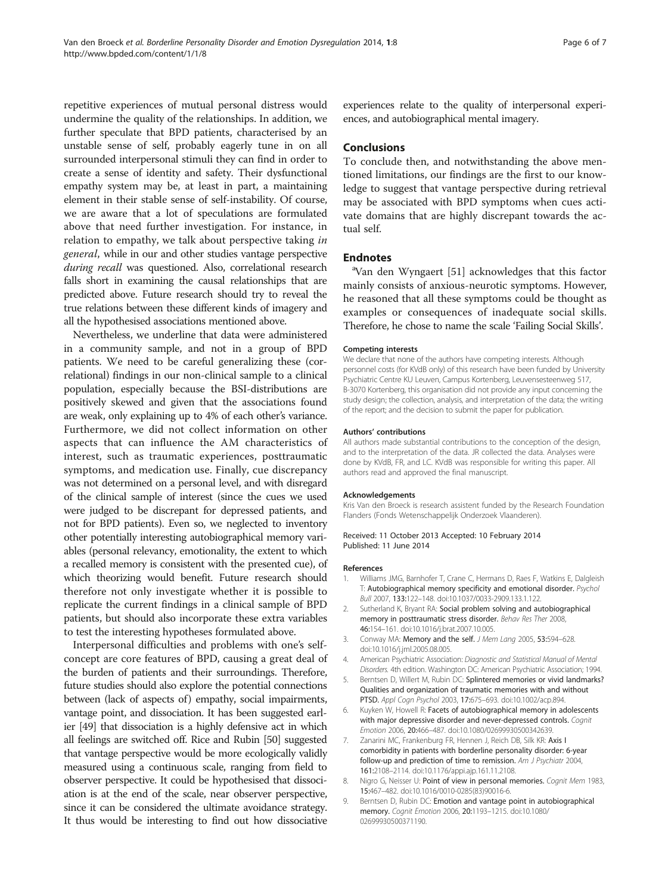<span id="page-5-0"></span>repetitive experiences of mutual personal distress would undermine the quality of the relationships. In addition, we further speculate that BPD patients, characterised by an unstable sense of self, probably eagerly tune in on all surrounded interpersonal stimuli they can find in order to create a sense of identity and safety. Their dysfunctional empathy system may be, at least in part, a maintaining element in their stable sense of self-instability. Of course, we are aware that a lot of speculations are formulated above that need further investigation. For instance, in relation to empathy, we talk about perspective taking in general, while in our and other studies vantage perspective during recall was questioned. Also, correlational research falls short in examining the causal relationships that are predicted above. Future research should try to reveal the true relations between these different kinds of imagery and all the hypothesised associations mentioned above.

Nevertheless, we underline that data were administered in a community sample, and not in a group of BPD patients. We need to be careful generalizing these (correlational) findings in our non-clinical sample to a clinical population, especially because the BSI-distributions are positively skewed and given that the associations found are weak, only explaining up to 4% of each other's variance. Furthermore, we did not collect information on other aspects that can influence the AM characteristics of interest, such as traumatic experiences, posttraumatic symptoms, and medication use. Finally, cue discrepancy was not determined on a personal level, and with disregard of the clinical sample of interest (since the cues we used were judged to be discrepant for depressed patients, and not for BPD patients). Even so, we neglected to inventory other potentially interesting autobiographical memory variables (personal relevancy, emotionality, the extent to which a recalled memory is consistent with the presented cue), of which theorizing would benefit. Future research should therefore not only investigate whether it is possible to replicate the current findings in a clinical sample of BPD patients, but should also incorporate these extra variables to test the interesting hypotheses formulated above.

Interpersonal difficulties and problems with one's selfconcept are core features of BPD, causing a great deal of the burden of patients and their surroundings. Therefore, future studies should also explore the potential connections between (lack of aspects of) empathy, social impairments, vantage point, and dissociation. It has been suggested earlier [\[49\]](#page-6-0) that dissociation is a highly defensive act in which all feelings are switched off. Rice and Rubin [\[50](#page-6-0)] suggested that vantage perspective would be more ecologically validly measured using a continuous scale, ranging from field to observer perspective. It could be hypothesised that dissociation is at the end of the scale, near observer perspective, since it can be considered the ultimate avoidance strategy. It thus would be interesting to find out how dissociative experiences relate to the quality of interpersonal experiences, and autobiographical mental imagery.

#### Conclusions

To conclude then, and notwithstanding the above mentioned limitations, our findings are the first to our knowledge to suggest that vantage perspective during retrieval may be associated with BPD symptoms when cues activate domains that are highly discrepant towards the actual self.

#### **Endnotes**

Van den Wyngaert [\[51](#page-6-0)] acknowledges that this factor mainly consists of anxious-neurotic symptoms. However, he reasoned that all these symptoms could be thought as examples or consequences of inadequate social skills. Therefore, he chose to name the scale 'Failing Social Skills'.

#### Competing interests

We declare that none of the authors have competing interests. Although personnel costs (for KVdB only) of this research have been funded by University Psychiatric Centre KU Leuven, Campus Kortenberg, Leuvensesteenweg 517, B-3070 Kortenberg, this organisation did not provide any input concerning the study design; the collection, analysis, and interpretation of the data; the writing of the report; and the decision to submit the paper for publication.

#### Authors' contributions

All authors made substantial contributions to the conception of the design, and to the interpretation of the data. JR collected the data. Analyses were done by KVdB, FR, and LC. KVdB was responsible for writing this paper. All authors read and approved the final manuscript.

#### Acknowledgements

Kris Van den Broeck is research assistent funded by the Research Foundation Flanders (Fonds Wetenschappelijk Onderzoek Vlaanderen).

#### Received: 11 October 2013 Accepted: 10 February 2014 Published: 11 June 2014

#### References

- 1. Williams JMG, Barnhofer T, Crane C, Hermans D, Raes F, Watkins E, Dalgleish T: Autobiographical memory specificity and emotional disorder. Psychol Bull 2007, 133:122–148. doi:10.1037/0033-2909.133.1.122.
- 2. Sutherland K, Bryant RA: Social problem solving and autobiographical memory in posttraumatic stress disorder. Behav Res Ther 2008, 46:154–161. doi:10.1016/j.brat.2007.10.005.
- 3. Conway MA: Memory and the self. J Mem Lang 2005, 53:594-628. doi:10.1016/j.jml.2005.08.005.
- 4. American Psychiatric Association: Diagnostic and Statistical Manual of Mental Disorders. 4th edition. Washington DC: American Psychiatric Association; 1994.
- 5. Berntsen D, Willert M, Rubin DC: Splintered memories or vivid landmarks? Qualities and organization of traumatic memories with and without PTSD. Appl Cogn Psychol 2003, 17:675–693. doi:10.1002/acp.894.
- 6. Kuyken W, Howell R: Facets of autobiographical memory in adolescents with major depressive disorder and never-depressed controls. Cognit Emotion 2006, 20:466–487. doi:10.1080/02699930500342639.
- Zanarini MC, Frankenburg FR, Hennen J, Reich DB, Silk KR: Axis I comorbidity in patients with borderline personality disorder: 6-year follow-up and prediction of time to remission. Am J Psychiatr 2004, 161:2108–2114. doi:10.1176/appi.ajp.161.11.2108.
- 8. Nigro G, Neisser U: Point of view in personal memories. Cognit Mem 1983, 15:467–482. doi:10.1016/0010-0285(83)90016-6.
- 9. Berntsen D, Rubin DC: Emotion and vantage point in autobiographical memory. Cognit Emotion 2006, 20:1193–1215. doi:10.1080/ 02699930500371190.